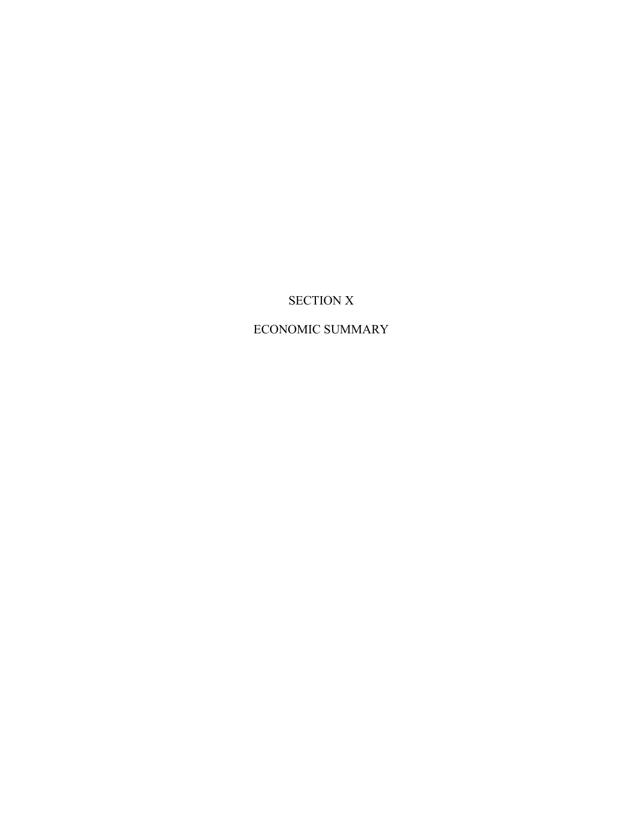# SECTION X

## ECONOMIC SUMMARY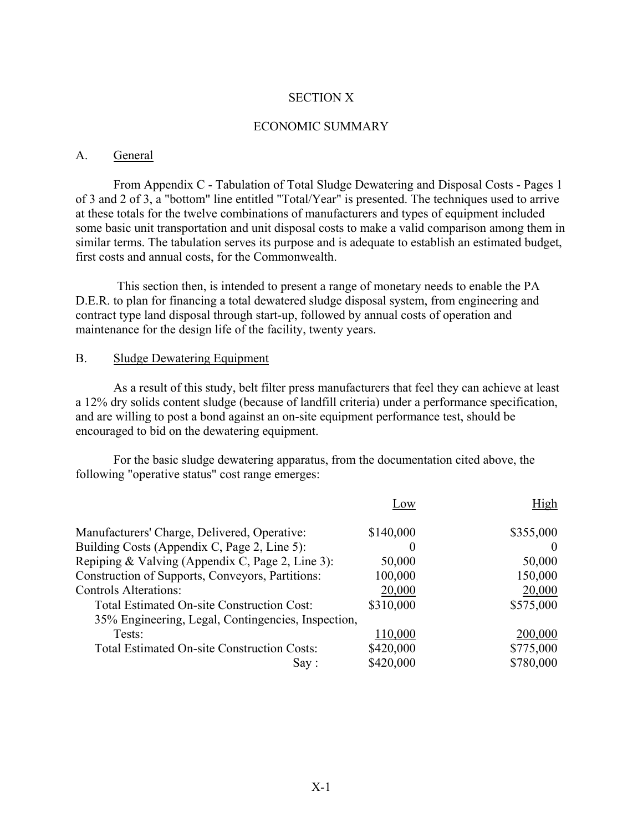#### SECTION X

#### ECONOMIC SUMMARY

#### A. General

From Appendix C - Tabulation of Total Sludge Dewatering and Disposal Costs - Pages 1 of 3 and 2 of 3, a "bottom" line entitled "Total/Year" is presented. The techniques used to arrive at these totals for the twelve combinations of manufacturers and types of equipment included some basic unit transportation and unit disposal costs to make a valid comparison among them in similar terms. The tabulation serves its purpose and is adequate to establish an estimated budget, first costs and annual costs, for the Commonwealth.

This section then, is intended to present a range of monetary needs to enable the PA D.E.R. to plan for financing a total dewatered sludge disposal system, from engineering and contract type land disposal through start-up, followed by annual costs of operation and maintenance for the design life of the facility, twenty years.

#### B. Sludge Dewatering Equipment

As a result of this study, belt filter press manufacturers that feel they can achieve at least a 12% dry solids content sludge (because of landfill criteria) under a performance specification, and are willing to post a bond against an on-site equipment performance test, should be encouraged to bid on the dewatering equipment.

For the basic sludge dewatering apparatus, from the documentation cited above, the following "operative status" cost range emerges:

|                                                    | Low       | High      |
|----------------------------------------------------|-----------|-----------|
| Manufacturers' Charge, Delivered, Operative:       | \$140,000 | \$355,000 |
| Building Costs (Appendix C, Page 2, Line 5):       | $\theta$  |           |
| Repiping & Valving (Appendix C, Page 2, Line 3):   | 50,000    | 50,000    |
| Construction of Supports, Conveyors, Partitions:   | 100,000   | 150,000   |
| <b>Controls Alterations:</b>                       | 20,000    | 20,000    |
| <b>Total Estimated On-site Construction Cost:</b>  | \$310,000 | \$575,000 |
| 35% Engineering, Legal, Contingencies, Inspection, |           |           |
| Tests:                                             | 110,000   | 200,000   |
| <b>Total Estimated On-site Construction Costs:</b> | \$420,000 | \$775,000 |
| Say:                                               | \$420,000 | \$780,000 |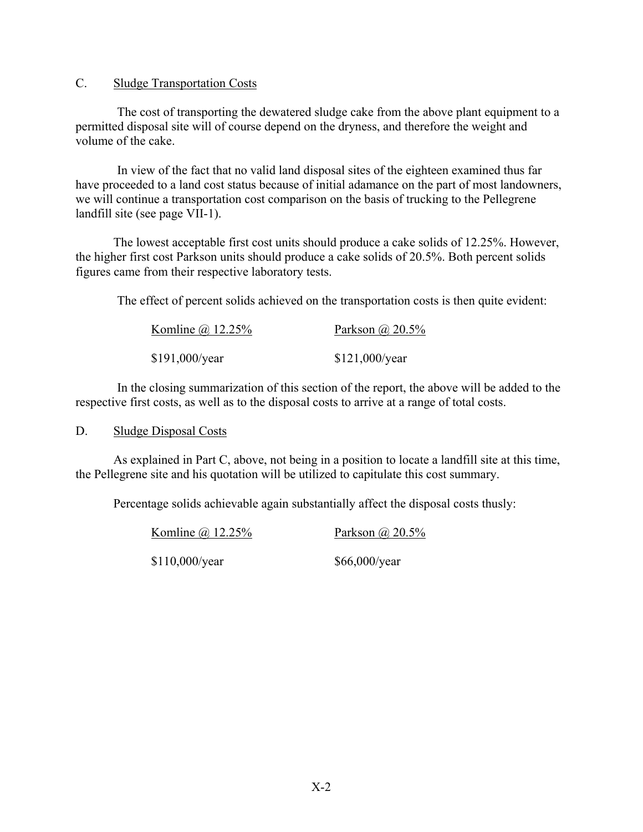### C. Sludge Transportation Costs

The cost of transporting the dewatered sludge cake from the above plant equipment to a permitted disposal site will of course depend on the dryness, and therefore the weight and volume of the cake.

In view of the fact that no valid land disposal sites of the eighteen examined thus far have proceeded to a land cost status because of initial adamance on the part of most landowners, we will continue a transportation cost comparison on the basis of trucking to the Pellegrene landfill site (see page VII-1).

The lowest acceptable first cost units should produce a cake solids of 12.25%. However, the higher first cost Parkson units should produce a cake solids of 20.5%. Both percent solids figures came from their respective laboratory tests.

The effect of percent solids achieved on the transportation costs is then quite evident:

| Komline $\omega$ 12.25% | Parkson $\omega$ 20.5% |  |  |
|-------------------------|------------------------|--|--|
| \$191,000/year          | \$121,000/year         |  |  |

In the closing summarization of this section of the report, the above will be added to the respective first costs, as well as to the disposal costs to arrive at a range of total costs.

D. Sludge Disposal Costs

As explained in Part C, above, not being in a position to locate a landfill site at this time, the Pellegrene site and his quotation will be utilized to capitulate this cost summary.

Percentage solids achievable again substantially affect the disposal costs thusly:

Komline @ 12.25% Parkson @ 20.5%

\$110,000/year \$66,000/year